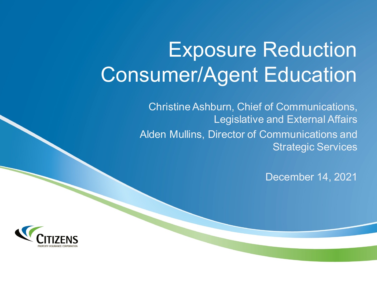# Exposure Reduction Consumer/Agent Education

Christine Ashburn, Chief of Communications, Legislative and External Affairs Alden Mullins, Director of Communications and Strategic Services

December 14, 2021

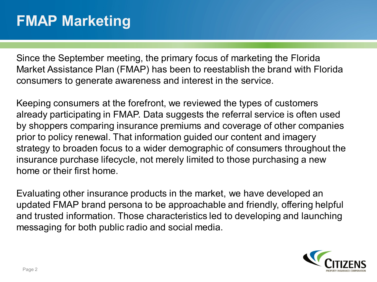### **FMAP Marketing**

Since the September meeting, the primary focus of marketing the Florida Market Assistance Plan (FMAP) has been to reestablish the brand with Florida consumers to generate awareness and interest in the service.

Keeping consumers at the forefront, we reviewed the types of customers already participating in FMAP. Data suggests the referral service is often used by shoppers comparing insurance premiums and coverage of other companies prior to policy renewal. That information guided our content and imagery strategy to broaden focus to a wider demographic of consumers throughout the insurance purchase lifecycle, not merely limited to those purchasing a new home or their first home.

Evaluating other insurance products in the market, we have developed an updated FMAP brand persona to be approachable and friendly, offering helpful and trusted information. Those characteristics led to developing and launching messaging for both public radio and social media.

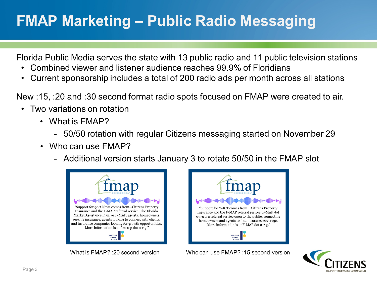# **FMAP Marketing – Public Radio Messaging**

Florida Public Media serves the state with 13 public radio and 11 public television stations

- Combined viewer and listener audience reaches 99.9% of Floridians
- Current sponsorship includes a total of 200 radio ads per month across all stations

New :15, :20 and :30 second format radio spots focused on FMAP were created to air.

- Two variations on rotation
	- What is FMAP?
		- 50/50 rotation with regular Citizens messaging started on November 29
	- Who can use FMAP?
		- Additional version starts January 3 to rotate 50/50 in the FMAP slot





What is FMAP? :20 second version Who can use FMAP? :15 second version

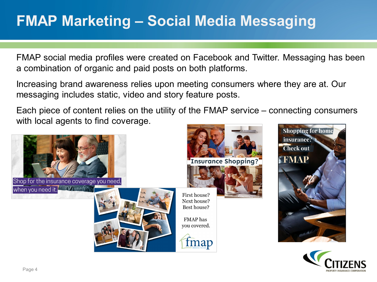### **FMAP Marketing – Social Media Messaging**

FMAP social media profiles were created on Facebook and Twitter. Messaging has been a combination of organic and paid posts on both platforms.

Increasing brand awareness relies upon meeting consumers where they are at. Our messaging includes static, video and story feature posts.

Each piece of content relies on the utility of the FMAP service – connecting consumers with local agents to find coverage.





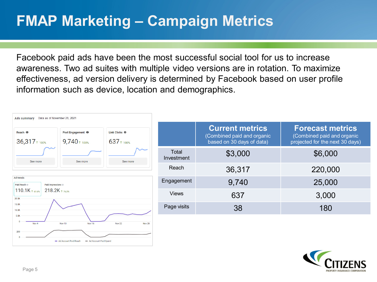### **FMAP Marketing – Campaign Metrics**

Facebook paid ads have been the most successful social tool for us to increase awareness. Two ad suites with multiple video versions are in rotation. To maximize effectiveness, ad version delivery is determined by Facebook based on user profile information such as device, location and demographics.



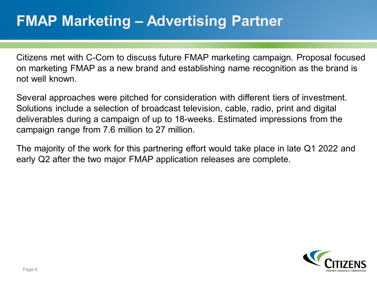### **FMAP Marketing – Advertising Partner**

Citizens met with C-Com to discuss future FMAP marketing campaign. Proposal focused on marketing FMAP as a new brand and establishing name recognition as the brand is not well known.

Several approaches were pitched for consideration with different tiers of investment. Solutions include a selection of broadcast television, cable, radio, print and digital deliverables during a campaign of up to 18-weeks. Estimated impressions from the campaign range from 7.6 million to 27 million.

The majority of the work for this partnering effort would take place in late Q1 2022 and early Q2 after the two major FMAP application releases are complete.

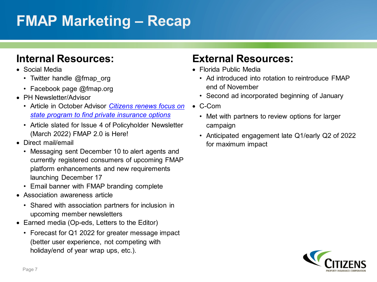# **FMAP Marketing – Recap**

#### **Internal Resources:**

- Social Media
	- Twitter handle @fmap org
	- Facebook page @fmap.org
- PH Newsletter/Advisor
	- Article in October Advisor *Citizens renews focus on [state program to find private insurance options](https://www.citizensfla.com/documents/20702/15485385/Citizens+Advisor_10.18.21.pdf/4220875d-b134-e129-a23c-3366ae527bfd?version=1.0&t=1634415280837&download=true)*
	- Article slated for Issue 4 of Policyholder Newsletter (March 2022) FMAP 2.0 is Here!
- Direct mail/email
	- Messaging sent December 10 to alert agents and currently registered consumers of upcoming FMAP platform enhancements and new requirements launching December 17
	- Email banner with FMAP branding complete
- Association awareness article
	- Shared with association partners for inclusion in upcoming member newsletters
- Earned media (Op-eds, Letters to the Editor)
	- Forecast for Q1 2022 for greater message impact (better user experience, not competing with holiday/end of year wrap ups, etc.).

### **External Resources:**

- Florida Public Media
	- Ad introduced into rotation to reintroduce FMAP end of November
	- Second ad incorporated beginning of January
- C-Com
	- Met with partners to review options for larger campaign
	- Anticipated engagement late Q1/early Q2 of 2022 for maximum impact

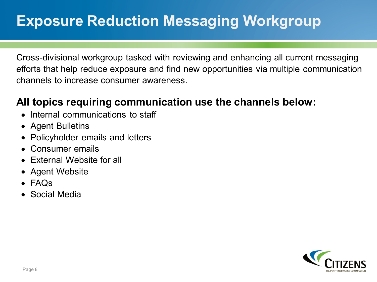# **Exposure Reduction Messaging Workgroup**

Cross-divisional workgroup tasked with reviewing and enhancing all current messaging efforts that help reduce exposure and find new opportunities via multiple communication channels to increase consumer awareness.

#### **All topics requiring communication use the channels below:**

- Internal communications to staff
- Agent Bulletins
- Policyholder emails and letters
- Consumer emails
- External Website for all
- Agent Website
- FAQs
- Social Media

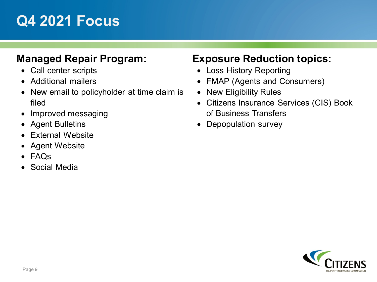### **Q4 2021 Focus**

#### **Managed Repair Program:**

- Call center scripts
- Additional mailers
- New email to policyholder at time claim is filed
- Improved messaging
- Agent Bulletins
- External Website
- Agent Website
- FAQs
- Social Media

#### **Exposure Reduction topics:**

- Loss History Reporting
- FMAP (Agents and Consumers)
- New Eligibility Rules
- Citizens Insurance Services (CIS) Book of Business Transfers
- Depopulation survey